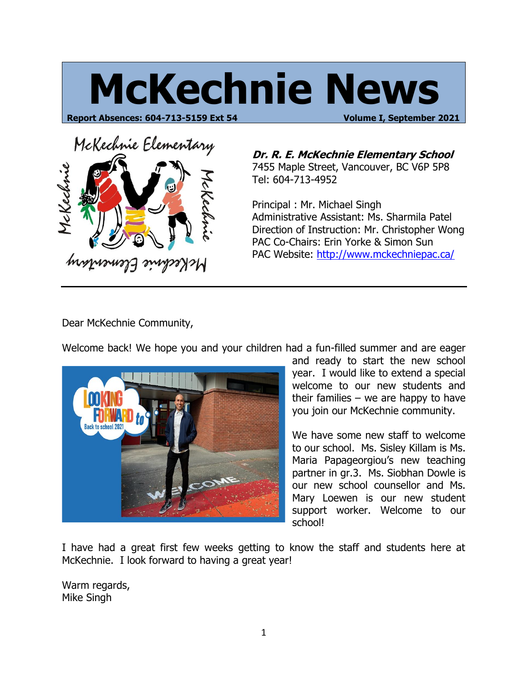# **McKechnie News**

**Report Absences: 604-713-5159 Ext 54 Volume I, September 2021**



**Dr. R. E. McKechnie Elementary School** 7455 Maple Street, Vancouver, BC V6P 5P8 Tel: 604-713-4952

Principal : Mr. Michael Singh Administrative Assistant: Ms. Sharmila Patel Direction of Instruction: Mr. Christopher Wong PAC Co-Chairs: Erin Yorke & Simon Sun PAC Website: http://www.mckechniepac.ca/

Dear McKechnie Community,

Welcome back! We hope you and your children had a fun-filled summer and are eager



and ready to start the new school year. I would like to extend a special welcome to our new students and their families  $-$  we are happy to have you join our McKechnie community.

We have some new staff to welcome to our school. Ms. Sisley Killam is Ms. Maria Papageorgiou's new teaching partner in gr.3. Ms. Siobhan Dowle is our new school counsellor and Ms. Mary Loewen is our new student support worker. Welcome to our school!

I have had a great first few weeks getting to know the staff and students here at McKechnie. I look forward to having a great year!

Warm regards, Mike Singh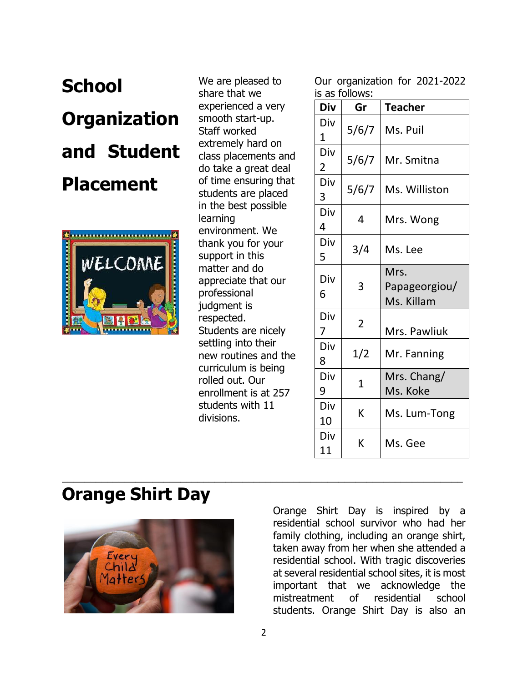## **School Organization and Student Placement**



We are pleased to share that we experienced a very smooth start-up. Staff worked extremely hard on class placements and do take a great deal of time ensuring that students are placed in the best possible learning environment. We thank you for your support in this matter and do appreciate that our professional judgment is respected. Students are nicely settling into their new routines and the curriculum is being rolled out. Our enrollment is at 257 students with 11 divisions.

Our organization for 2021-2022 is as follows:

| Div                   | Gr             | <b>Teacher</b>                      |
|-----------------------|----------------|-------------------------------------|
| Div<br>1              | 5/6/7          | Ms. Puil                            |
| Div<br>$\overline{2}$ | 5/6/7          | Mr. Smitna                          |
| Div<br>3              | 5/6/7          | Ms. Williston                       |
| Div<br>4              | 4              | Mrs. Wong                           |
| Div<br>5              | 3/4            | Ms. Lee                             |
| Div<br>6              | 3              | Mrs.<br>Papageorgiou/<br>Ms. Killam |
| Div<br>7              | $\overline{2}$ | Mrs. Pawliuk                        |
| Div<br>8              | 1/2            | Mr. Fanning                         |
| Div<br>9              | $\mathbf 1$    | Mrs. Chang/<br>Ms. Koke             |
| Div<br>10             | K              | Ms. Lum-Tong                        |
| Div<br>11             | K              | Ms. Gee                             |

## **Orange Shirt Day**



Orange Shirt Day is inspired by a residential school survivor who had her family clothing, including an orange shirt, taken away from her when she attended a residential school. With tragic discoveries at several residential school sites, it is most important that we acknowledge the mistreatment of residential school students. Orange Shirt Day is also an

\_\_\_\_\_\_\_\_\_\_\_\_\_\_\_\_\_\_\_\_\_\_\_\_\_\_\_\_\_\_\_\_\_\_\_\_\_\_\_\_\_\_\_\_\_\_\_\_\_\_\_\_\_\_\_\_\_\_\_\_\_\_\_\_\_\_\_\_\_\_\_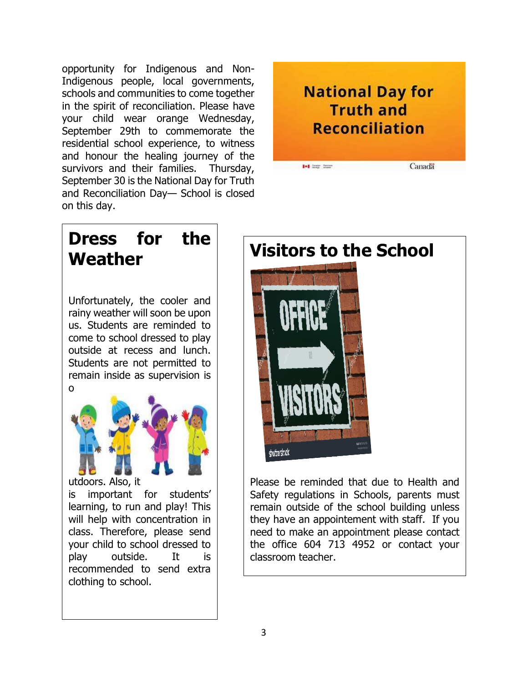opportunity for Indigenous and Non-Indigenous people, local governments, schools and communities to come together in the spirit of reconciliation. Please have your child wear orange Wednesday, September 29th to commemorate the residential school experience, to witness and honour the healing journey of the survivors and their families. Thursday, September 30 is the National Day for Truth and Reconciliation Day— School is closed on this day.



## **Dress for the Weather**

Unfortunately, the cooler and rainy weather will soon be upon us. Students are reminded to come to school dressed to play outside at recess and lunch. Students are not permitted to remain inside as supervision is o



utdoors. Also, it

is important for students' learning, to run and play! This will help with concentration in class. Therefore, please send your child to school dressed to play outside. It is recommended to send extra clothing to school.



Please be reminded that due to Health and Safety regulations in Schools, parents must remain outside of the school building unless they have an appointement with staff. If you need to make an appointment please contact the office 604 713 4952 or contact your classroom teacher.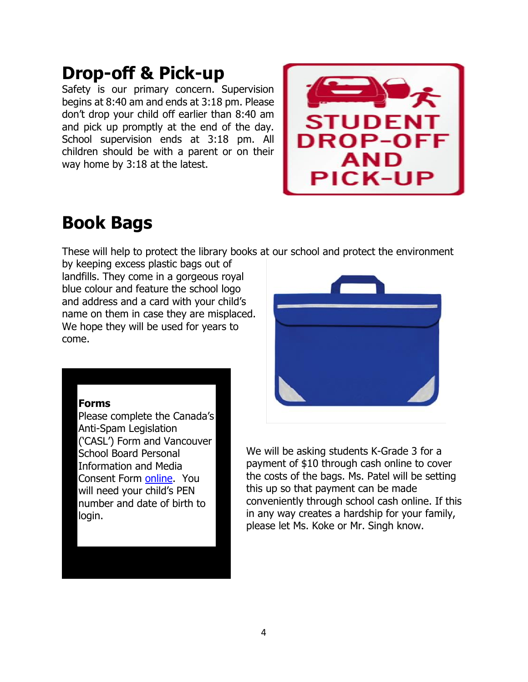## **Drop-off & Pick-up**

Safety is our primary concern. Supervision begins at 8:40 am and ends at 3:18 pm. Please don't drop your child off earlier than 8:40 am and pick up promptly at the end of the day. School supervision ends at 3:18 pm. All children should be with a parent or on their way home by 3:18 at the latest.



## **Book Bags**

These will help to protect the library books at our school and protect the environment

by keeping excess plastic bags out of landfills. They come in a gorgeous royal blue colour and feature the school logo and address and a card with your child's name on them in case they are misplaced. We hope they will be used for years to come.



#### **Forms**

Please complete the Canada's Anti-Spam Legislation ('CASL') Form and Vancouver School Board Personal Information and Media Consent Form [online.](https://myforms.vsb.bc.ca/Login) You will need your child's PEN number and date of birth to login.

We will be asking students K-Grade 3 for a payment of \$10 through cash online to cover the costs of the bags. Ms. Patel will be setting this up so that payment can be made conveniently through school cash online. If this in any way creates a hardship for your family, please let Ms. Koke or Mr. Singh know.